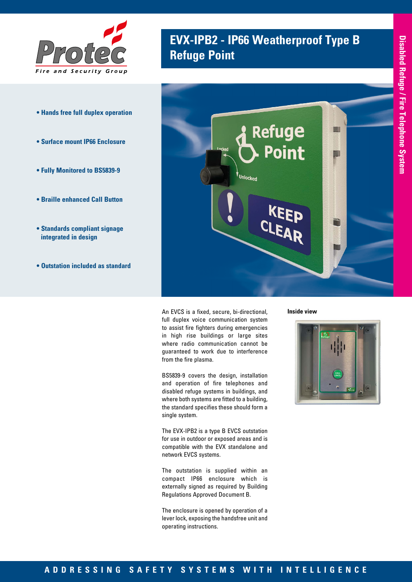

- **Hands free full duplex operation**
- **Surface mount IP66 Enclosure**
- **Fully Monitored to BS5839-9**
- **Braille enhanced Call Button**
- **Standards compliant signage integrated in design**
- **Outstation included as standard**

# **EVX-IPB2 - IP66 Weatherproof Type B Refuge Point**



An EVCS is a fixed, secure, bi-directional, full duplex voice communication system to assist fire fighters during emergencies in high rise buildings or large sites where radio communication cannot be guaranteed to work due to interference from the fire plasma.

BS5839-9 covers the design, installation and operation of fire telephones and disabled refuge systems in buildings, and where both systems are fitted to a building, the standard specifies these should form a single system.

The EVX-IPB2 is a type B EVCS outstation for use in outdoor or exposed areas and is compatible with the EVX standalone and network EVCS systems.

The outstation is supplied within an compact IP66 enclosure which is externally signed as required by Building Regulations Approved Document B.

The enclosure is opened by operation of a lever lock, exposing the handsfree unit and operating instructions.

**Inside view**